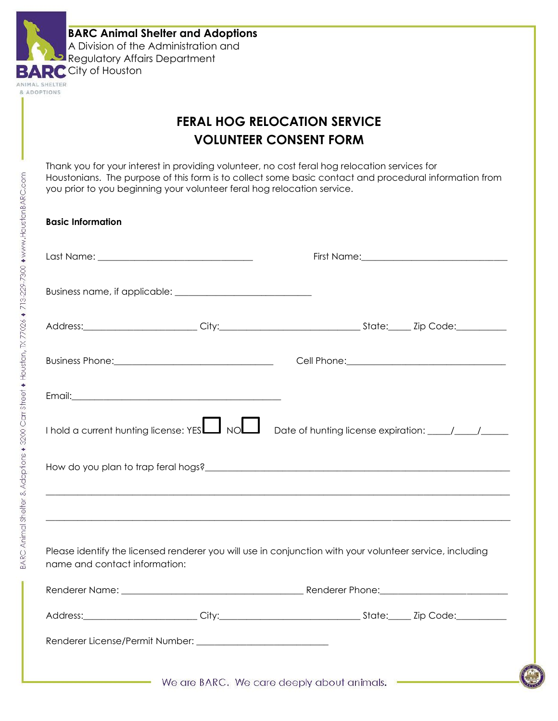

Please identify the licensed renderer you will use in conjunction with your volunteer service, including name and contact information:

\_\_\_\_\_\_\_\_\_\_\_\_\_\_\_\_\_\_\_\_\_\_\_\_\_\_\_\_\_\_\_\_\_\_\_\_\_\_\_\_\_\_\_\_\_\_\_\_\_\_\_\_\_\_\_\_\_\_\_\_\_\_\_\_\_\_\_\_\_\_\_\_\_\_\_\_\_\_\_\_\_\_\_\_\_\_\_\_\_\_\_\_\_\_\_\_\_\_\_\_\_\_

\_\_\_\_\_\_\_\_\_\_\_\_\_\_\_\_\_\_\_\_\_\_\_\_\_\_\_\_\_\_\_\_\_\_\_\_\_\_\_\_\_\_\_\_\_\_\_\_\_\_\_\_\_\_\_\_\_\_\_\_\_\_\_\_\_\_\_\_\_\_\_\_\_\_\_\_\_\_\_\_\_\_\_\_\_\_\_\_\_\_\_\_\_\_\_\_\_\_\_\_\_\_

| Address: Address: |  |  | State: Zip Code: |  |  |
|-------------------|--|--|------------------|--|--|
|                   |  |  |                  |  |  |
|                   |  |  |                  |  |  |